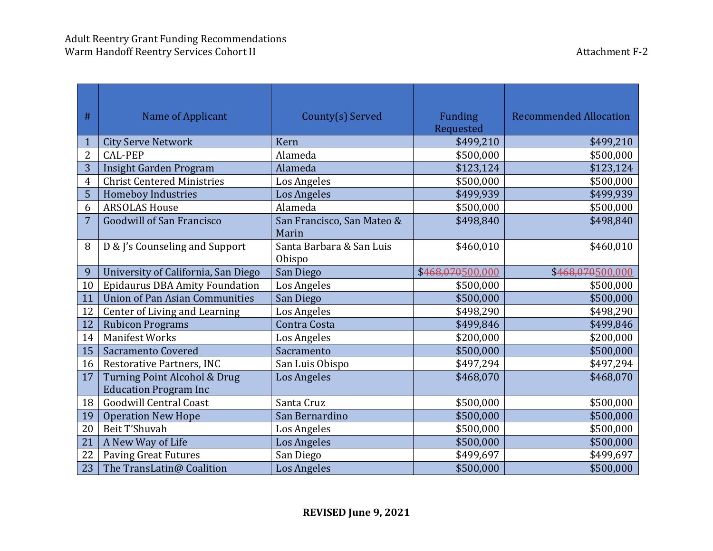| #              | Name of Applicant                                            | County(s) Served                    | <b>Funding</b><br>Requested | <b>Recommended Allocation</b> |
|----------------|--------------------------------------------------------------|-------------------------------------|-----------------------------|-------------------------------|
| $\mathbf{1}$   | <b>City Serve Network</b>                                    | Kern                                | \$499,210                   | \$499,210                     |
| $\overline{2}$ | <b>CAL-PEP</b>                                               | Alameda                             | \$500,000                   | \$500,000                     |
| 3              | <b>Insight Garden Program</b>                                | Alameda                             | \$123,124                   | \$123,124                     |
| 4              | <b>Christ Centered Ministries</b>                            | Los Angeles                         | \$500,000                   | \$500,000                     |
| 5              | <b>Homeboy Industries</b>                                    | <b>Los Angeles</b>                  | \$499,939                   | \$499,939                     |
| 6              | <b>ARSOLAS House</b>                                         | Alameda                             | \$500,000                   | \$500,000                     |
| $\overline{7}$ | <b>Goodwill of San Francisco</b>                             | San Francisco, San Mateo &<br>Marin | \$498,840                   | \$498,840                     |
| 8              | D & J's Counseling and Support                               | Santa Barbara & San Luis<br>Obispo  | \$460,010                   | \$460,010                     |
| 9              | University of California, San Diego                          | San Diego                           | \$468,070500,000            | \$468,070500,000              |
| 10             | <b>Epidaurus DBA Amity Foundation</b>                        | Los Angeles                         | \$500,000                   | \$500,000                     |
| 11             | <b>Union of Pan Asian Communities</b>                        | San Diego                           | \$500,000                   | \$500,000                     |
| 12             | Center of Living and Learning                                | Los Angeles                         | \$498,290                   | \$498,290                     |
| 12             | <b>Rubicon Programs</b>                                      | Contra Costa                        | \$499,846                   | \$499,846                     |
| 14             | <b>Manifest Works</b>                                        | Los Angeles                         | \$200,000                   | \$200,000                     |
| 15             | Sacramento Covered                                           | Sacramento                          | \$500,000                   | \$500,000                     |
| 16             | Restorative Partners, INC                                    | San Luis Obispo                     | \$497,294                   | \$497,294                     |
| 17             | Turning Point Alcohol & Drug<br><b>Education Program Inc</b> | <b>Los Angeles</b>                  | \$468,070                   | \$468,070                     |
| 18             | <b>Goodwill Central Coast</b>                                | Santa Cruz                          | \$500,000                   | \$500,000                     |
| 19             | <b>Operation New Hope</b>                                    | San Bernardino                      | \$500,000                   | \$500,000                     |
| 20             | Beit T'Shuvah                                                | Los Angeles                         | \$500,000                   | \$500,000                     |
| 21             | A New Way of Life                                            | Los Angeles                         | \$500,000                   | \$500,000                     |
| 22             | <b>Paving Great Futures</b>                                  | San Diego                           | \$499,697                   | \$499,697                     |
| 23             | The TransLatin@ Coalition                                    | <b>Los Angeles</b>                  | \$500,000                   | \$500,000                     |